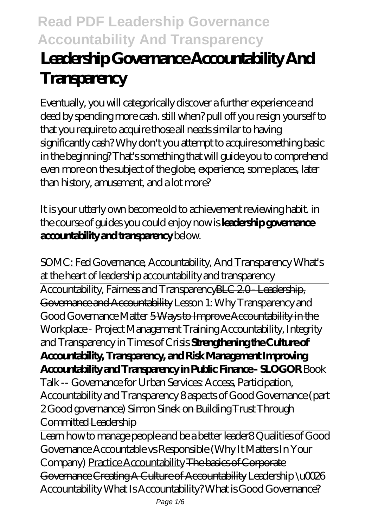## **Leadership Governance Accountability And Transparency**

Eventually, you will categorically discover a further experience and deed by spending more cash. still when? pull off you resign yourself to that you require to acquire those all needs similar to having significantly cash? Why don't you attempt to acquire something basic in the beginning? That's something that will guide you to comprehend even more on the subject of the globe, experience, some places, later than history, amusement, and a lot more?

It is your utterly own become old to achievement reviewing habit. in the course of guides you could enjoy now is **leadership governance accountability and transparency** below.

SOMC: Fed Governance, Accountability, And Transparency *What's at the heart of leadership accountability and transparency* Accountability, Fairness and TransparencyBLC 2.0 - Leadership, Governance and Accountability *Lesson 1: Why Transparency and Good Governance Matter* 5 Ways to Improve Accountability in the Workplace - Project Management Training *Accountability, Integrity and Transparency in Times of Crisis* **Strengthening the Culture of Accountability, Transparency, and Risk Management Improving Accountability and Transparency in Public Finance - SLOGOR** Book Talk -- Governance for Urban Services: Access, Participation, Accountability and Transparency 8 aspects of Good Governance (part 2 Good governance) Simon Sinek on Building Trust Through Committed Leadership

Learn how to manage people and be a better leader*8 Qualities of Good Governance Accountable vs Responsible (Why It Matters In Your Company)* Practice Accountability The basics of Corporate Governance Creating A Culture of Accountability Leadership \u0026 Accountability *What Is Accountability?* What is Good Governance?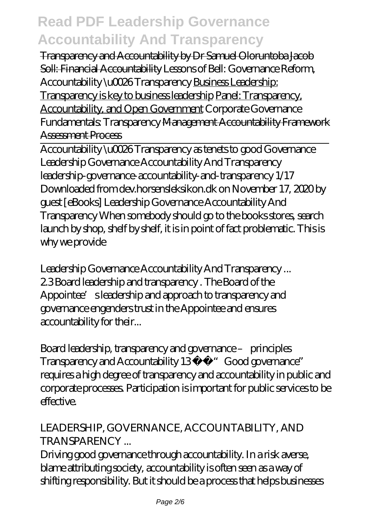Transparency and Accountability by Dr Samuel Oloruntoba Jacob Soll: Financial Accountability *Lessons of Bell: Governance Reform, Accountability \u0026 Transparency* Business Leadership:

Transparency is key to business leadership Panel: Transparency, Accountability, and Open Government *Corporate Governance Fundamentals: Transparency* Management Accountability Framework Assessment Process

Accountability \u0026 Transparency as tenets to good Governance Leadership Governance Accountability And Transparency leadership-governance-accountability-and-transparency 1/17 Downloaded from dev.horsensleksikon.dk on November 17, 2020 by guest [eBooks] Leadership Governance Accountability And Transparency When somebody should go to the books stores, search launch by shop, shelf by shelf, it is in point of fact problematic. This is why we provide

Leadership Governance Accountability And Transparency ... 2.3 Board leadership and transparency . The Board of the Appointee's leadership and approach to transparency and governance engenders trust in the Appointee and ensures accountability for their...

Board leadership, transparency and governance – principles Transparency and Accountability 13 "Good governance" requires a high degree of transparency and accountability in public and corporate processes. Participation is important for public services to be effective.

#### LEADERSHIP, GOVERNANCE, ACCOUNTABILITY, AND **TRANSPARENCY**

Driving good governance through accountability. In a risk averse, blame attributing society, accountability is often seen as a way of shifting responsibility. But it should be a process that helps businesses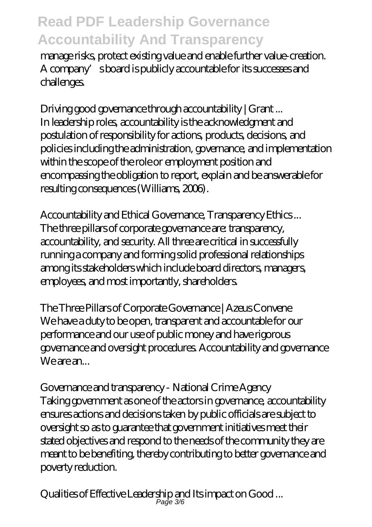manage risks, protect existing value and enable further value-creation. A company's board is publicly accountable for its successes and challenges.

Driving good governance through accountability | Grant ... In leadership roles, accountability is the acknowledgment and postulation of responsibility for actions, products, decisions, and policies including the administration, governance, and implementation within the scope of the role or employment position and encompassing the obligation to report, explain and be answerable for resulting consequences (Williams, 2006).

Accountability and Ethical Governance, Transparency Ethics ... The three pillars of corporate governance are: transparency, accountability, and security. All three are critical in successfully running a company and forming solid professional relationships among its stakeholders which include board directors, managers, employees, and most importantly, shareholders.

The Three Pillars of Corporate Governance | Azeus Convene We have a duty to be open, transparent and accountable for our performance and our use of public money and have rigorous governance and oversight procedures. Accountability and governance We are an...

Governance and transparency - National Crime Agency Taking government as one of the actors in governance, accountability ensures actions and decisions taken by public officials are subject to oversight so as to guarantee that government initiatives meet their stated objectives and respond to the needs of the community they are meant to be benefiting, thereby contributing to better governance and poverty reduction.

Qualities of Effective Leadership and Its impact on Good ... Page 3/6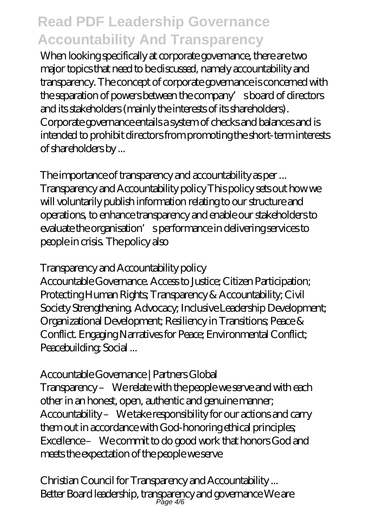When looking specifically at corporate governance, there are two major topics that need to be discussed, namely accountability and transparency. The concept of corporate governance is concerned with the separation of powers between the company's board of directors and its stakeholders (mainly the interests of its shareholders). Corporate governance entails a system of checks and balances and is intended to prohibit directors from promoting the short-term interests of shareholders by ...

The importance of transparency and accountability as per ... Transparency and Accountability policy This policy sets out how we will voluntarily publish information relating to our structure and operations, to enhance transparency and enable our stakeholders to evaluate the organisation's performance in delivering services to people in crisis. The policy also

Transparency and Accountability policy

Accountable Governance. Access to Justice; Citizen Participation; Protecting Human Rights; Transparency & Accountability; Civil Society Strengthening. Advocacy; Inclusive Leadership Development; Organizational Development; Resiliency in Transitions; Peace & Conflict. Engaging Narratives for Peace; Environmental Conflict; Peacebuilding; Social ...

Accountable Governance | Partners Global

Transparency – We relate with the people we serve and with each other in an honest, open, authentic and genuine manner; Accountability – We take responsibility for our actions and carry them out in accordance with God-honoring ethical principles; Excellence – We commit to do good work that honors God and meets the expectation of the people we serve

Christian Council for Transparency and Accountability ... Better Board leadership, transparency and governance We are Page 4/6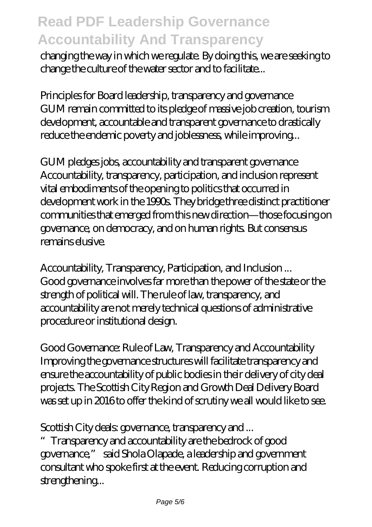changing the way in which we regulate. By doing this, we are seeking to change the culture of the water sector and to facilitate...

Principles for Board leadership, transparency and governance GUM remain committed to its pledge of massive job creation, tourism development, accountable and transparent governance to drastically reduce the endemic poverty and joblessness, while improving...

GUM pledges jobs, accountability and transparent governance Accountability, transparency, participation, and inclusion represent vital embodiments of the opening to politics that occurred in development work in the 1990s. They bridge three distinct practitioner communities that emerged from this new direction—those focusing on governance, on democracy, and on human rights. But consensus remains elusive.

Accountability, Transparency, Participation, and Inclusion ... Good governance involves far more than the power of the state or the strength of political will. The rule of law, transparency, and accountability are not merely technical questions of administrative procedure or institutional design.

Good Governance: Rule of Law, Transparency and Accountability Improving the governance structures will facilitate transparency and ensure the accountability of public bodies in their delivery of city deal projects. The Scottish City Region and Growth Deal Delivery Board was set up in 2016 to offer the kind of scrutiny we all would like to see.

Scottish City deals: governance, transparency and ...

Transparency and accountability are the bedrock of good governance," said Shola Olapade, a leadership and government consultant who spoke first at the event. Reducing corruption and strengthening...